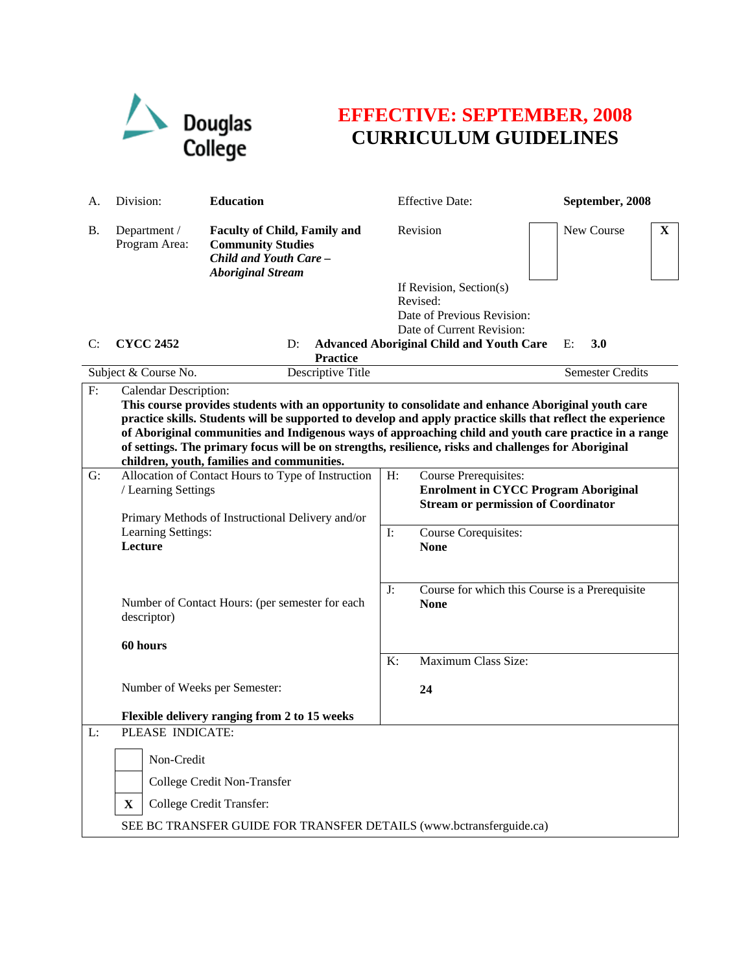

## **EFFECTIVE: SEPTEMBER, 2008 CURRICULUM GUIDELINES**

| A.        | Division:                                                                                                                                                                                                                                                                                                                                                                                                                                                                                                         | <b>Education</b>                                                                                                      |    | <b>Effective Date:</b>                                                                    | September, 2008            |  |
|-----------|-------------------------------------------------------------------------------------------------------------------------------------------------------------------------------------------------------------------------------------------------------------------------------------------------------------------------------------------------------------------------------------------------------------------------------------------------------------------------------------------------------------------|-----------------------------------------------------------------------------------------------------------------------|----|-------------------------------------------------------------------------------------------|----------------------------|--|
| <b>B.</b> | Department /<br>Program Area:                                                                                                                                                                                                                                                                                                                                                                                                                                                                                     | <b>Faculty of Child, Family and</b><br><b>Community Studies</b><br>Child and Youth Care -<br><b>Aboriginal Stream</b> |    | Revision                                                                                  | New Course<br>$\mathbf{X}$ |  |
|           |                                                                                                                                                                                                                                                                                                                                                                                                                                                                                                                   |                                                                                                                       |    | If Revision, Section(s)                                                                   |                            |  |
|           |                                                                                                                                                                                                                                                                                                                                                                                                                                                                                                                   |                                                                                                                       |    | Revised:                                                                                  |                            |  |
|           |                                                                                                                                                                                                                                                                                                                                                                                                                                                                                                                   |                                                                                                                       |    | Date of Previous Revision:<br>Date of Current Revision:                                   |                            |  |
| C:        | <b>CYCC 2452</b>                                                                                                                                                                                                                                                                                                                                                                                                                                                                                                  | D:                                                                                                                    |    | <b>Advanced Aboriginal Child and Youth Care</b>                                           | 3.0<br>$E$ :               |  |
|           |                                                                                                                                                                                                                                                                                                                                                                                                                                                                                                                   | <b>Practice</b>                                                                                                       |    |                                                                                           |                            |  |
|           | Subject & Course No.                                                                                                                                                                                                                                                                                                                                                                                                                                                                                              | Descriptive Title                                                                                                     |    |                                                                                           | Semester Credits           |  |
| F:        | <b>Calendar Description:</b><br>This course provides students with an opportunity to consolidate and enhance Aboriginal youth care<br>practice skills. Students will be supported to develop and apply practice skills that reflect the experience<br>of Aboriginal communities and Indigenous ways of approaching child and youth care practice in a range<br>of settings. The primary focus will be on strengths, resilience, risks and challenges for Aboriginal<br>children, youth, families and communities. |                                                                                                                       |    |                                                                                           |                            |  |
| G:        |                                                                                                                                                                                                                                                                                                                                                                                                                                                                                                                   | Allocation of Contact Hours to Type of Instruction                                                                    |    | <b>Course Prerequisites:</b>                                                              |                            |  |
|           | / Learning Settings                                                                                                                                                                                                                                                                                                                                                                                                                                                                                               |                                                                                                                       |    | <b>Enrolment in CYCC Program Aboriginal</b><br><b>Stream or permission of Coordinator</b> |                            |  |
|           |                                                                                                                                                                                                                                                                                                                                                                                                                                                                                                                   | Primary Methods of Instructional Delivery and/or<br>Learning Settings:                                                |    |                                                                                           |                            |  |
|           |                                                                                                                                                                                                                                                                                                                                                                                                                                                                                                                   |                                                                                                                       |    | Course Corequisites:                                                                      |                            |  |
|           | Lecture                                                                                                                                                                                                                                                                                                                                                                                                                                                                                                           |                                                                                                                       |    | <b>None</b>                                                                               |                            |  |
|           |                                                                                                                                                                                                                                                                                                                                                                                                                                                                                                                   |                                                                                                                       |    |                                                                                           |                            |  |
|           | Number of Contact Hours: (per semester for each<br>descriptor)<br>60 hours                                                                                                                                                                                                                                                                                                                                                                                                                                        |                                                                                                                       | J: | Course for which this Course is a Prerequisite                                            |                            |  |
|           |                                                                                                                                                                                                                                                                                                                                                                                                                                                                                                                   |                                                                                                                       |    | <b>None</b>                                                                               |                            |  |
|           |                                                                                                                                                                                                                                                                                                                                                                                                                                                                                                                   |                                                                                                                       |    |                                                                                           |                            |  |
|           |                                                                                                                                                                                                                                                                                                                                                                                                                                                                                                                   |                                                                                                                       |    |                                                                                           |                            |  |
|           |                                                                                                                                                                                                                                                                                                                                                                                                                                                                                                                   |                                                                                                                       | K: | Maximum Class Size:                                                                       |                            |  |
|           | Number of Weeks per Semester:                                                                                                                                                                                                                                                                                                                                                                                                                                                                                     |                                                                                                                       |    |                                                                                           |                            |  |
|           |                                                                                                                                                                                                                                                                                                                                                                                                                                                                                                                   |                                                                                                                       |    | 24                                                                                        |                            |  |
|           |                                                                                                                                                                                                                                                                                                                                                                                                                                                                                                                   | Flexible delivery ranging from 2 to 15 weeks                                                                          |    |                                                                                           |                            |  |
| L:        | PLEASE INDICATE:                                                                                                                                                                                                                                                                                                                                                                                                                                                                                                  |                                                                                                                       |    |                                                                                           |                            |  |
|           | Non-Credit                                                                                                                                                                                                                                                                                                                                                                                                                                                                                                        |                                                                                                                       |    |                                                                                           |                            |  |
|           |                                                                                                                                                                                                                                                                                                                                                                                                                                                                                                                   | College Credit Non-Transfer                                                                                           |    |                                                                                           |                            |  |
|           | $\mathbf X$                                                                                                                                                                                                                                                                                                                                                                                                                                                                                                       | College Credit Transfer:                                                                                              |    |                                                                                           |                            |  |
|           | SEE BC TRANSFER GUIDE FOR TRANSFER DETAILS (www.bctransferguide.ca)                                                                                                                                                                                                                                                                                                                                                                                                                                               |                                                                                                                       |    |                                                                                           |                            |  |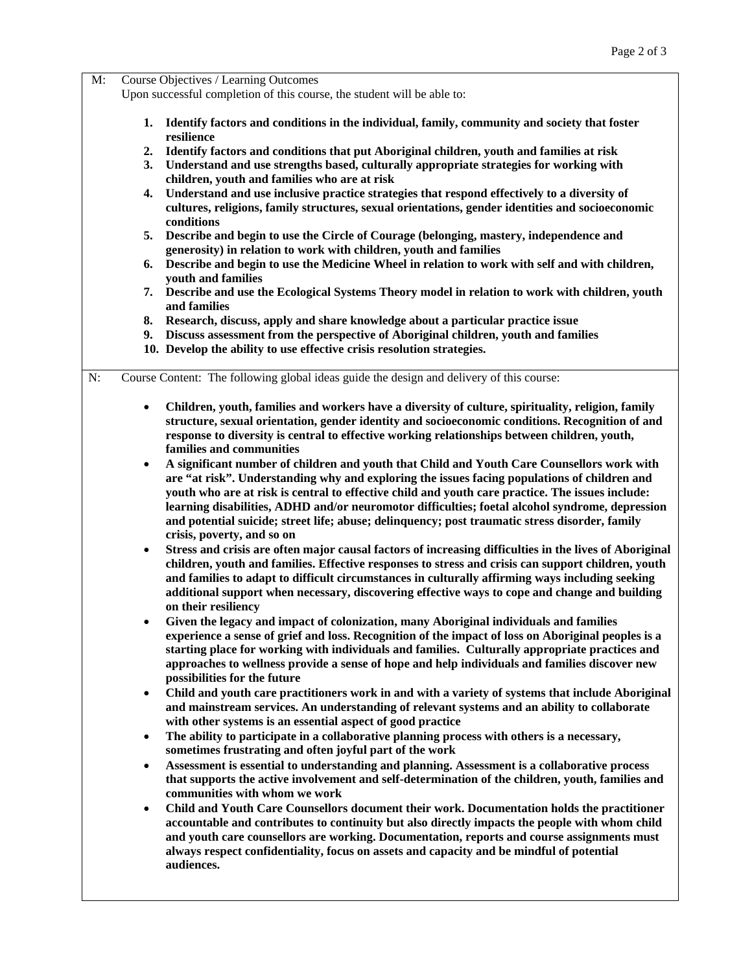| M: | Course Objectives / Learning Outcomes<br>Upon successful completion of this course, the student will be able to: |                                                                                                                                                                                                                                                                                                                                                                                                                                         |  |  |
|----|------------------------------------------------------------------------------------------------------------------|-----------------------------------------------------------------------------------------------------------------------------------------------------------------------------------------------------------------------------------------------------------------------------------------------------------------------------------------------------------------------------------------------------------------------------------------|--|--|
|    | 1.                                                                                                               | Identify factors and conditions in the individual, family, community and society that foster<br>resilience                                                                                                                                                                                                                                                                                                                              |  |  |
|    | $\mathbf{2}$ .<br>3.                                                                                             | Identify factors and conditions that put Aboriginal children, youth and families at risk<br>Understand and use strengths based, culturally appropriate strategies for working with                                                                                                                                                                                                                                                      |  |  |
|    | 4.                                                                                                               | children, youth and families who are at risk<br>Understand and use inclusive practice strategies that respond effectively to a diversity of<br>cultures, religions, family structures, sexual orientations, gender identities and socioeconomic<br>conditions                                                                                                                                                                           |  |  |
|    | 5.                                                                                                               | Describe and begin to use the Circle of Courage (belonging, mastery, independence and<br>generosity) in relation to work with children, youth and families                                                                                                                                                                                                                                                                              |  |  |
|    | 6.                                                                                                               | Describe and begin to use the Medicine Wheel in relation to work with self and with children,<br>youth and families                                                                                                                                                                                                                                                                                                                     |  |  |
|    | 7.                                                                                                               | Describe and use the Ecological Systems Theory model in relation to work with children, youth<br>and families                                                                                                                                                                                                                                                                                                                           |  |  |
|    | 8.<br>9.                                                                                                         | Research, discuss, apply and share knowledge about a particular practice issue<br>Discuss assessment from the perspective of Aboriginal children, youth and families                                                                                                                                                                                                                                                                    |  |  |
|    |                                                                                                                  | 10. Develop the ability to use effective crisis resolution strategies.                                                                                                                                                                                                                                                                                                                                                                  |  |  |
| N: |                                                                                                                  | Course Content: The following global ideas guide the design and delivery of this course:                                                                                                                                                                                                                                                                                                                                                |  |  |
|    | $\bullet$                                                                                                        | Children, youth, families and workers have a diversity of culture, spirituality, religion, family<br>structure, sexual orientation, gender identity and socioeconomic conditions. Recognition of and<br>response to diversity is central to effective working relationships between children, youth,<br>families and communities                                                                                                        |  |  |
|    | $\bullet$                                                                                                        | A significant number of children and youth that Child and Youth Care Counsellors work with                                                                                                                                                                                                                                                                                                                                              |  |  |
|    |                                                                                                                  | are "at risk". Understanding why and exploring the issues facing populations of children and<br>youth who are at risk is central to effective child and youth care practice. The issues include:<br>learning disabilities, ADHD and/or neuromotor difficulties; foetal alcohol syndrome, depression<br>and potential suicide; street life; abuse; delinquency; post traumatic stress disorder, family<br>crisis, poverty, and so on     |  |  |
|    | ٠                                                                                                                | Stress and crisis are often major causal factors of increasing difficulties in the lives of Aboriginal<br>children, youth and families. Effective responses to stress and crisis can support children, youth<br>and families to adapt to difficult circumstances in culturally affirming ways including seeking<br>additional support when necessary, discovering effective ways to cope and change and building<br>on their resiliency |  |  |
|    |                                                                                                                  | Given the legacy and impact of colonization, many Aboriginal individuals and families<br>experience a sense of grief and loss. Recognition of the impact of loss on Aboriginal peoples is a<br>starting place for working with individuals and families. Culturally appropriate practices and<br>approaches to wellness provide a sense of hope and help individuals and families discover new<br>possibilities for the future          |  |  |
|    | $\bullet$                                                                                                        | Child and youth care practitioners work in and with a variety of systems that include Aboriginal<br>and mainstream services. An understanding of relevant systems and an ability to collaborate<br>with other systems is an essential aspect of good practice                                                                                                                                                                           |  |  |
|    | $\bullet$                                                                                                        | The ability to participate in a collaborative planning process with others is a necessary,<br>sometimes frustrating and often joyful part of the work                                                                                                                                                                                                                                                                                   |  |  |
|    | ٠                                                                                                                | Assessment is essential to understanding and planning. Assessment is a collaborative process<br>that supports the active involvement and self-determination of the children, youth, families and<br>communities with whom we work                                                                                                                                                                                                       |  |  |
|    | $\bullet$                                                                                                        | Child and Youth Care Counsellors document their work. Documentation holds the practitioner<br>accountable and contributes to continuity but also directly impacts the people with whom child<br>and youth care counsellors are working. Documentation, reports and course assignments must<br>always respect confidentiality, focus on assets and capacity and be mindful of potential<br>audiences.                                    |  |  |
|    |                                                                                                                  |                                                                                                                                                                                                                                                                                                                                                                                                                                         |  |  |